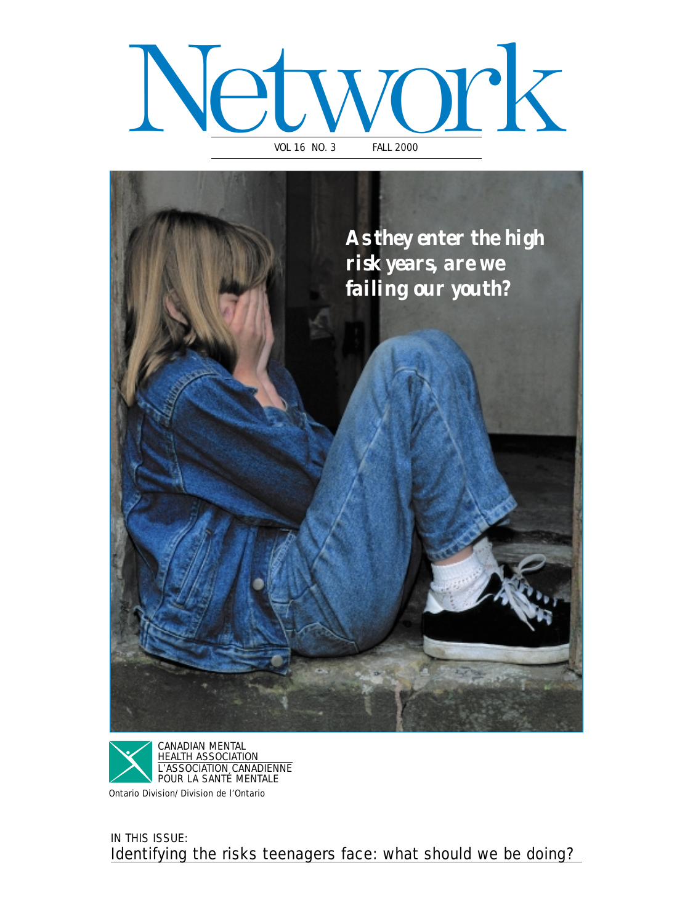### Network VOL 16 NO. 3





Ontario Division/Division de l'Ontario

IN THIS ISSUE: Identifying the risks teenagers face: what should we be doing?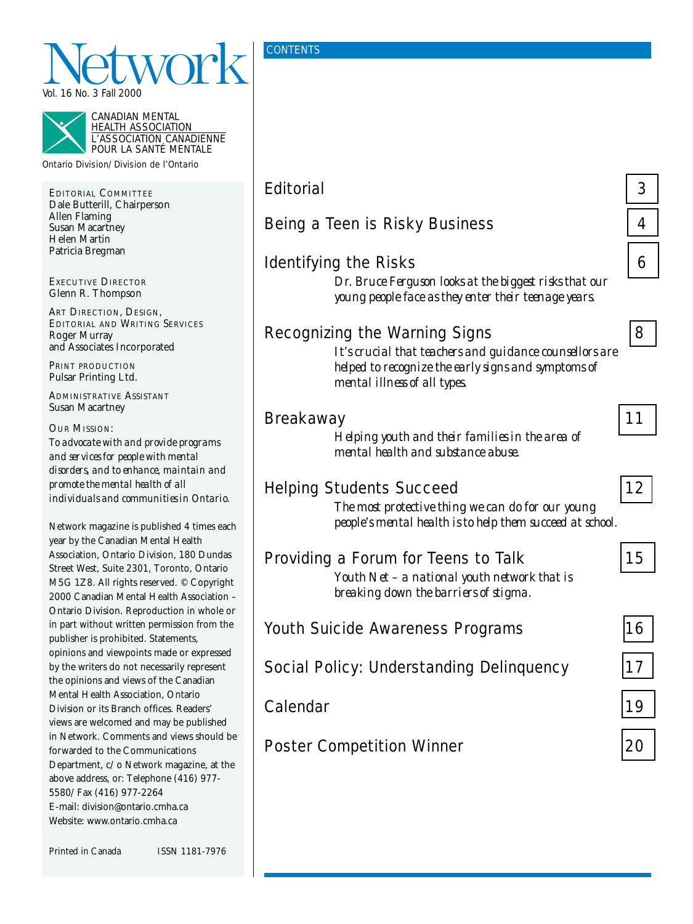



HEALTH ASSOCIATION L'ASSOCIATION CANADIENNE POUR LA SANTÉ MENTALE

Ontario Division/Division de l'Ontario

EDITORIAL COMMITTEE Dale Butterill, Chairperson Allen Flaming Susan Macartney Helen Martin Patricia Bregman

EXECUTIVE DIRECTOR Glenn R. Thompson

ART DIRECTION, DESIGN, EDITORIAL AND WRITING SERVICES Roger Murray and Associates Incorporated

PRINT PRODUCTION Pulsar Printing Ltd.

ADMINISTRATIVE ASSISTANT Susan Macartney

OUR MISSION: *To advocate with and provide programs and services for people with mental disorders, and to enhance, maintain and promote the mental health of all individuals and communities in Ontario.*

Network magazine is published 4 times each year by the Canadian Mental Health Association, Ontario Division, 180 Dundas Street West, Suite 2301, Toronto, Ontario M5G 1Z8. All rights reserved. © Copyright 2000 Canadian Mental Health Association – Ontario Division. Reproduction in whole or in part without written permission from the publisher is prohibited. Statements, opinions and viewpoints made or expressed by the writers do not necessarily represent the opinions and views of the Canadian Mental Health Association, Ontario Division or its Branch offices. Readers' views are welcomed and may be published in Network. Comments and views should be forwarded to the Communications Department, c/o Network magazine, at the above address, or: Telephone (416) 977- 5580/Fax (416) 977-2264 E-mail: division@ontario.cmha.ca Website: www.ontario.cmha.ca

| Printed in Canada | ISSN 1181-7976 |
|-------------------|----------------|
|                   |                |

**CONTENTS** 

| <b>Editorial</b>                                                                                                                                                                       | 3  |
|----------------------------------------------------------------------------------------------------------------------------------------------------------------------------------------|----|
| Being a Teen is Risky Business                                                                                                                                                         | 4  |
| <b>Identifying the Risks</b><br>Dr. Bruce Ferguson looks at the biggest risks that our<br>young people face as they enter their teenage years.                                         | 6  |
| <b>Recognizing the Warning Signs</b><br>It's crucial that teachers and guidance counsellors are<br>helped to recognize the early signs and symptoms of<br>mental illness of all types. | 8  |
| <b>Breakaway</b><br>Helping youth and their families in the area of<br>mental health and substance abuse.                                                                              | 11 |
| <b>Helping Students Succeed</b><br>The most protective thing we can do for our young<br>people's mental health is to help them succeed at school.                                      | 12 |
| Providing a Forum for Teens to Talk<br>Youth Net - a national youth network that is<br>breaking down the barriers of stigma.                                                           | 15 |
| <b>Youth Suicide Awareness Programs</b>                                                                                                                                                | 16 |
| <b>Social Policy: Understanding Delinguency</b>                                                                                                                                        | 17 |
| Calendar                                                                                                                                                                               | 19 |
| <b>Poster Competition Winner</b>                                                                                                                                                       | 20 |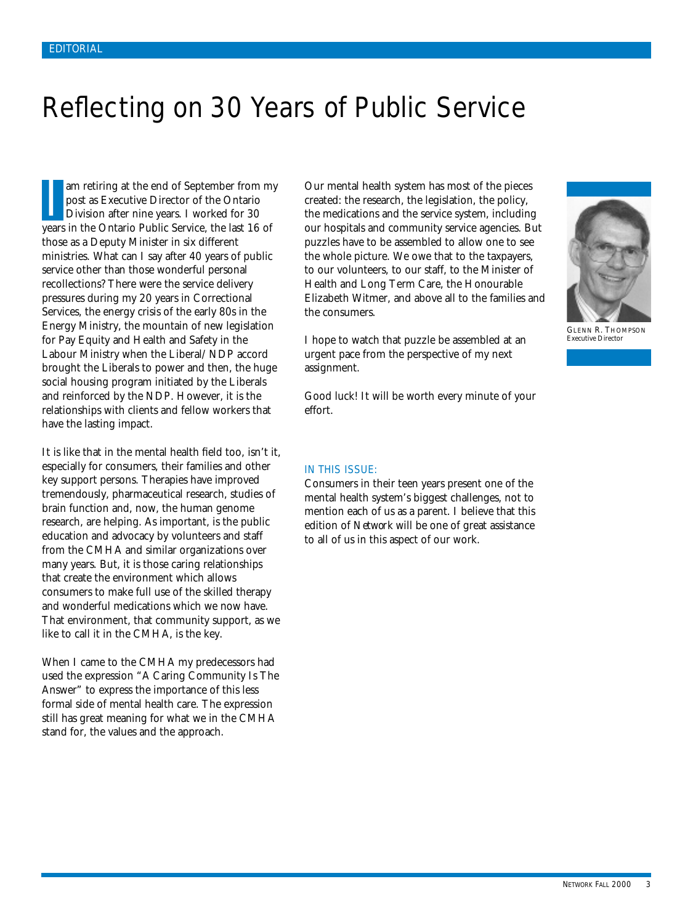### <span id="page-2-0"></span>Reflecting on 30 Years of Public Service

am retiring at the end of September from my post as Executive Director of the Ontario Division after nine years. I worked for 30 years in the Ontario Public Service, the last 16 of those as a Deputy Minister in six different ministries. What can I say after 40 years of public service other than those wonderful personal recollections? There were the service delivery pressures during my 20 years in Correctional Services, the energy crisis of the early 80s in the Energy Ministry, the mountain of new legislation for Pay Equity and Health and Safety in the Labour Ministry when the Liberal/NDP accord brought the Liberals to power and then, the huge social housing program initiated by the Liberals and reinforced by the NDP. However, it is the relationships with clients and fellow workers that have the lasting impact. I

It is like that in the mental health field too, isn't it, especially for consumers, their families and other key support persons. Therapies have improved tremendously, pharmaceutical research, studies of brain function and, now, the human genome research, are helping. As important, is the public education and advocacy by volunteers and staff from the CMHA and similar organizations over many years. But, it is those caring relationships that create the environment which allows consumers to make full use of the skilled therapy and wonderful medications which we now have. That environment, that community support, as we like to call it in the CMHA, is the key.

When I came to the CMHA my predecessors had used the expression "A Caring Community Is The Answer" to express the importance of this less formal side of mental health care. The expression still has great meaning for what we in the CMHA stand for, the values and the approach.

Our mental health system has most of the pieces created: the research, the legislation, the policy, the medications and the service system, including our hospitals and community service agencies. But puzzles have to be assembled to allow one to see the whole picture. We owe that to the taxpayers, to our volunteers, to our staff, to the Minister of Health and Long Term Care, the Honourable Elizabeth Witmer, and above all to the families and the consumers.

I hope to watch that puzzle be assembled at an urgent pace from the perspective of my next assignment.

Good luck! It will be worth every minute of your effort.

#### IN THIS ISSUE:

Consumers in their teen years present one of the mental health system's biggest challenges, not to mention each of us as a parent. I believe that this edition of *Network* will be one of great assistance to all of us in this aspect of our work.



GLENN R. THOMPSON Executive Director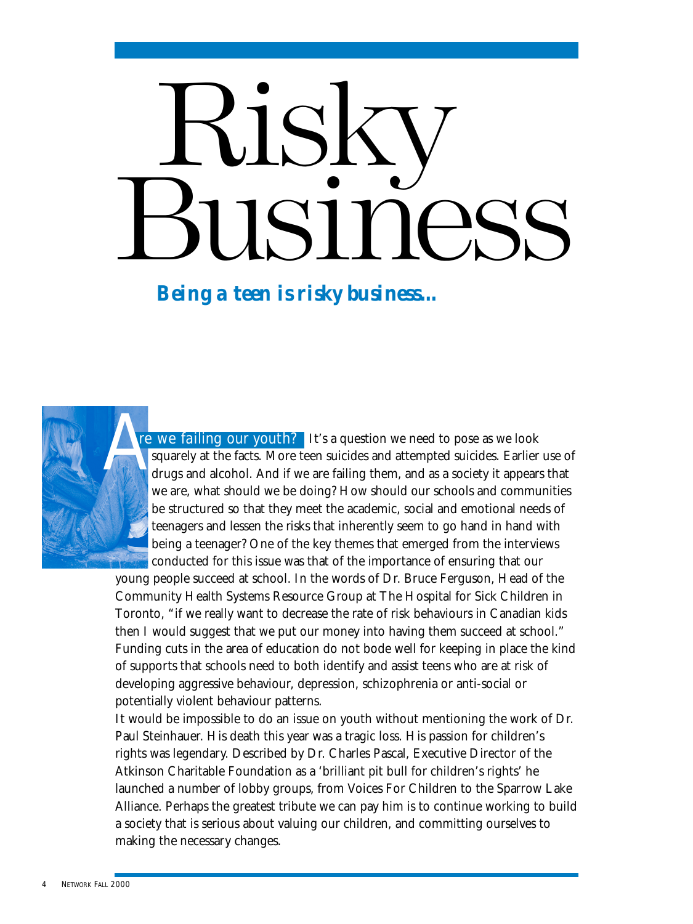# <span id="page-3-0"></span>Risky Business

*Being a teen is risky business...*



It's a question we need to pose as we look squarely at the facts. More teen suicides and attempted suicides. Earlier use of drugs and alcohol. And if we are failing them, and as a society it appears that we are, what should we be doing? How should our schools and communities be structured so that they meet the academic, social and emotional needs of teenagers and lessen the risks that inherently seem to go hand in hand with being a teenager? One of the key themes that emerged from the interviews conducted for this issue was that of the importance of ensuring that our The we failing our youth?<br>
squarely at the facts. More<br>
drugs and alcohol. And if v

young people succeed at school. In the words of Dr. Bruce Ferguson, Head of the Community Health Systems Resource Group at The Hospital for Sick Children in Toronto, "if we really want to decrease the rate of risk behaviours in Canadian kids then I would suggest that we put our money into having them succeed at school." Funding cuts in the area of education do not bode well for keeping in place the kind of supports that schools need to both identify and assist teens who are at risk of developing aggressive behaviour, depression, schizophrenia or anti-social or potentially violent behaviour patterns.

It would be impossible to do an issue on youth without mentioning the work of Dr. Paul Steinhauer. His death this year was a tragic loss. His passion for children's rights was legendary. Described by Dr. Charles Pascal, Executive Director of the Atkinson Charitable Foundation as a 'brilliant pit bull for children's rights' he launched a number of lobby groups, from Voices For Children to the Sparrow Lake Alliance. Perhaps the greatest tribute we can pay him is to continue working to build a society that is serious about valuing our children, and committing ourselves to making the necessary changes.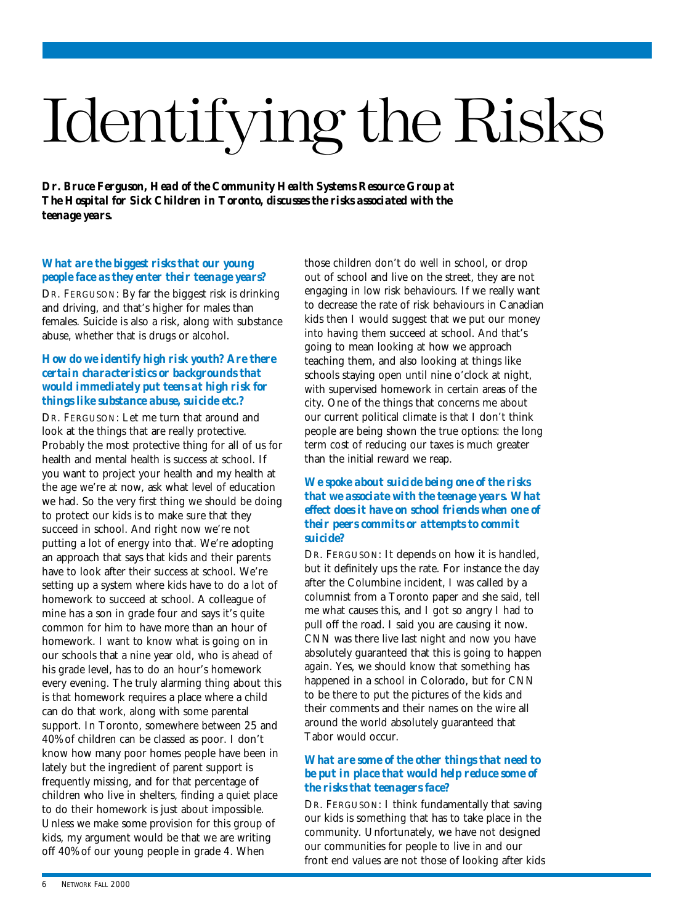## <span id="page-4-0"></span>Identifying the Risks

*Dr. Bruce Ferguson, Head of the Community Health Systems Resource Group at The Hospital for Sick Children in Toronto, discusses the risks associated with the teenage years.*

#### *What are the biggest risks that our young people face as they enter their teenage years?*

DR. FERGUSON: By far the biggest risk is drinking and driving, and that's higher for males than females. Suicide is also a risk, along with substance abuse, whether that is drugs or alcohol.

#### *How do we identify high risk youth? Are there certain characteristics or backgrounds that would immediately put teens at high risk for things like substance abuse, suicide etc.?*

DR. FERGUSON: Let me turn that around and look at the things that are really protective. Probably the most protective thing for all of us for health and mental health is success at school. If you want to project your health and my health at the age we're at now, ask what level of education we had. So the very first thing we should be doing to protect our kids is to make sure that they succeed in school. And right now we're not putting a lot of energy into that. We're adopting an approach that says that kids and their parents have to look after their success at school. We're setting up a system where kids have to do a lot of homework to succeed at school. A colleague of mine has a son in grade four and says it's quite common for him to have more than an hour of homework. I want to know what is going on in our schools that a nine year old, who is ahead of his grade level, has to do an hour's homework every evening. The truly alarming thing about this is that homework requires a place where a child can do that work, along with some parental support. In Toronto, somewhere between 25 and 40% of children can be classed as poor. I don't know how many poor homes people have been in lately but the ingredient of parent support is frequently missing, and for that percentage of children who live in shelters, finding a quiet place to do their homework is just about impossible. Unless we make some provision for this group of kids, my argument would be that we are writing off 40% of our young people in grade 4. When

those children don't do well in school, or drop out of school and live on the street, they are not engaging in low risk behaviours. If we really want to decrease the rate of risk behaviours in Canadian kids then I would suggest that we put our money into having them succeed at school. And that's going to mean looking at how we approach teaching them, and also looking at things like schools staying open until nine o'clock at night, with supervised homework in certain areas of the city. One of the things that concerns me about our current political climate is that I don't think people are being shown the true options: the long term cost of reducing our taxes is much greater than the initial reward we reap.

#### *We spoke about suicide being one of the risks that we associate with the teenage years. What effect does it have on school friends when one of their peers commits or attempts to commit suicide?*

DR. FERGUSON: It depends on how it is handled, but it definitely ups the rate. For instance the day after the Columbine incident, I was called by a columnist from a Toronto paper and she said, tell me what causes this, and I got so angry I had to pull off the road. I said you are causing it now. CNN was there live last night and now you have absolutely guaranteed that this is going to happen again. Yes, we should know that something has happened in a school in Colorado, but for CNN to be there to put the pictures of the kids and their comments and their names on the wire all around the world absolutely guaranteed that Tabor would occur.

#### *What are some of the other things that need to be put in place that would help reduce some of the risks that teenagers face?*

DR. FERGUSON: I think fundamentally that saving our kids is something that has to take place in the community. Unfortunately, we have not designed our communities for people to live in and our front end values are not those of looking after kids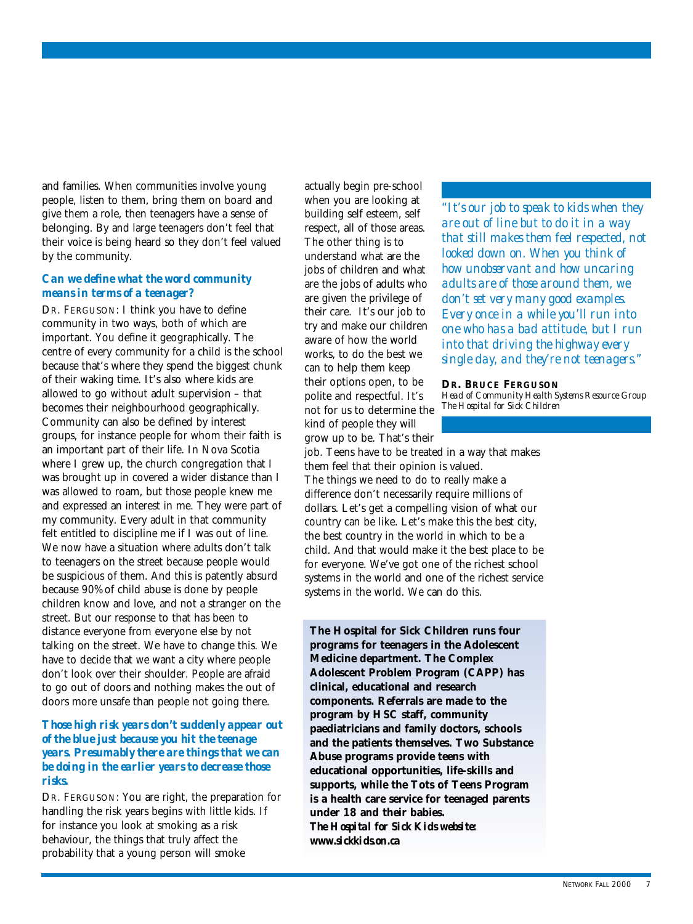and families. When communities involve young people, listen to them, bring them on board and give them a role, then teenagers have a sense of belonging. By and large teenagers don't feel that their voice is being heard so they don't feel valued by the community.

#### *Can we define what the word community means in terms of a teenager?*

DR. FERGUSON: I think you have to define community in two ways, both of which are important. You define it geographically. The centre of every community for a child is the school because that's where they spend the biggest chunk of their waking time. It's also where kids are allowed to go without adult supervision – that becomes their neighbourhood geographically. Community can also be defined by interest groups, for instance people for whom their faith is an important part of their life. In Nova Scotia where I grew up, the church congregation that I was brought up in covered a wider distance than I was allowed to roam, but those people knew me and expressed an interest in me. They were part of my community. Every adult in that community felt entitled to discipline me if I was out of line. We now have a situation where adults don't talk to teenagers on the street because people would be suspicious of them. And this is patently absurd because 90% of child abuse is done by people children know and love, and not a stranger on the street. But our response to that has been to distance everyone from everyone else by not talking on the street. We have to change this. We have to decide that we want a city where people don't look over their shoulder. People are afraid to go out of doors and nothing makes the out of doors more unsafe than people not going there.

#### *Those high risk years don't suddenly appear out of the blue just because you hit the teenage years. Presumably there are things that we can be doing in the earlier years to decrease those risks.*

DR. FERGUSON: You are right, the preparation for handling the risk years begins with little kids. If for instance you look at smoking as a risk behaviour, the things that truly affect the probability that a young person will smoke

actually begin pre-school when you are looking at building self esteem, self respect, all of those areas. The other thing is to understand what are the jobs of children and what are the jobs of adults who are given the privilege of their care. It's our job to try and make our children aware of how the world works, to do the best we can to help them keep their options open, to be polite and respectful. It's not for us to determine the kind of people they will grow up to be. That's their

job. Teens have to be treated in a way that makes them feel that their opinion is valued. The things we need to do to really make a difference don't necessarily require millions of dollars. Let's get a compelling vision of what our country can be like. Let's make this the best city, the best country in the world in which to be a child. And that would make it the best place to be for everyone. We've got one of the richest school systems in the world and one of the richest service systems in the world. We can do this.

**The Hospital for Sick Children runs four programs for teenagers in the Adolescent Medicine department. The Complex Adolescent Problem Program (CAPP) has clinical, educational and research components. Referrals are made to the program by HSC staff, community paediatricians and family doctors, schools and the patients themselves. Two Substance Abuse programs provide teens with educational opportunities, life-skills and supports, while the Tots of Teens Program is a health care service for teenaged parents under 18 and their babies.** *The Hospital for Sick Kids website: www.sickkids.on.ca*

*"It's our job to speak to kids when they are out of line but to do it in a way that still makes them feel respected, not looked down on. When you think of how unobservant and how uncaring adults are of those around them, we don't set very many good examples. Every once in a while you'll run into one who has a bad attitude, but I run into that driving the highway every single day, and they're not teenagers."*

**DR. BRUCE FERGUSON** *Head of Community Health Systems Resource Group The Hospital for Sick Children*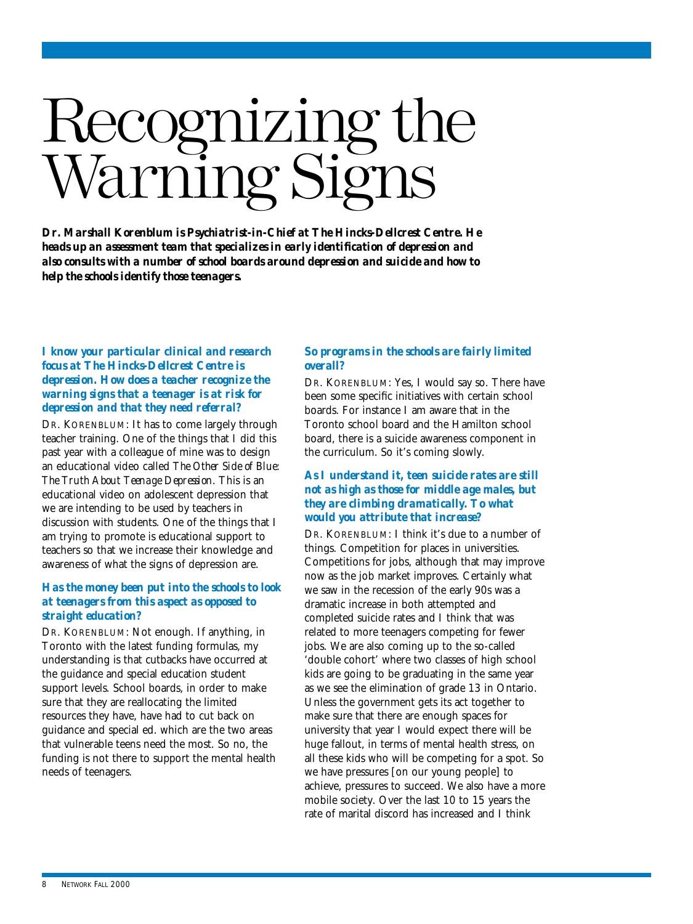## <span id="page-6-0"></span>Recognizing the arning s

*Dr. Marshall Korenblum is Psychiatrist-in-Chief at The Hincks-Dellcrest Centre. He heads up an assessment team that specializes in early identification of depression and also consults with a number of school boards around depression and suicide and how to help the schools identify those teenagers.*

#### *I know your particular clinical and research focus at The Hincks-Dellcrest Centre is depression. How does a teacher recognize the warning signs that a teenager is at risk for depression and that they need referral?*

DR. KORENBLUM: It has to come largely through teacher training. One of the things that I did this past year with a colleague of mine was to design an educational video called *The Other Side of Blue: The Truth About Teenage Depression*. This is an educational video on adolescent depression that we are intending to be used by teachers in discussion with students. One of the things that I am trying to promote is educational support to teachers so that we increase their knowledge and awareness of what the signs of depression are.

#### *Has the money been put into the schools to look at teenagers from this aspect as opposed to straight education?*

DR. KORENBLUM: Not enough. If anything, in Toronto with the latest funding formulas, my understanding is that cutbacks have occurred at the guidance and special education student support levels. School boards, in order to make sure that they are reallocating the limited resources they have, have had to cut back on guidance and special ed. which are the two areas that vulnerable teens need the most. So no, the funding is not there to support the mental health needs of teenagers.

#### *So programs in the schools are fairly limited overall?*

DR. KORENBLUM: Yes, I would say so. There have been some specific initiatives with certain school boards. For instance I am aware that in the Toronto school board and the Hamilton school board, there is a suicide awareness component in the curriculum. So it's coming slowly.

#### *As I understand it, teen suicide rates are still not as high as those for middle age males, but they are climbing dramatically. To what would you attribute that increase?*

DR. KORENBLUM: I think it's due to a number of things. Competition for places in universities. Competitions for jobs, although that may improve now as the job market improves. Certainly what we saw in the recession of the early 90s was a dramatic increase in both attempted and completed suicide rates and I think that was related to more teenagers competing for fewer jobs. We are also coming up to the so-called 'double cohort' where two classes of high school kids are going to be graduating in the same year as we see the elimination of grade 13 in Ontario. Unless the government gets its act together to make sure that there are enough spaces for university that year I would expect there will be huge fallout, in terms of mental health stress, on all these kids who will be competing for a spot. So we have pressures [on our young people] to achieve, pressures to succeed. We also have a more mobile society. Over the last 10 to 15 years the rate of marital discord has increased and I think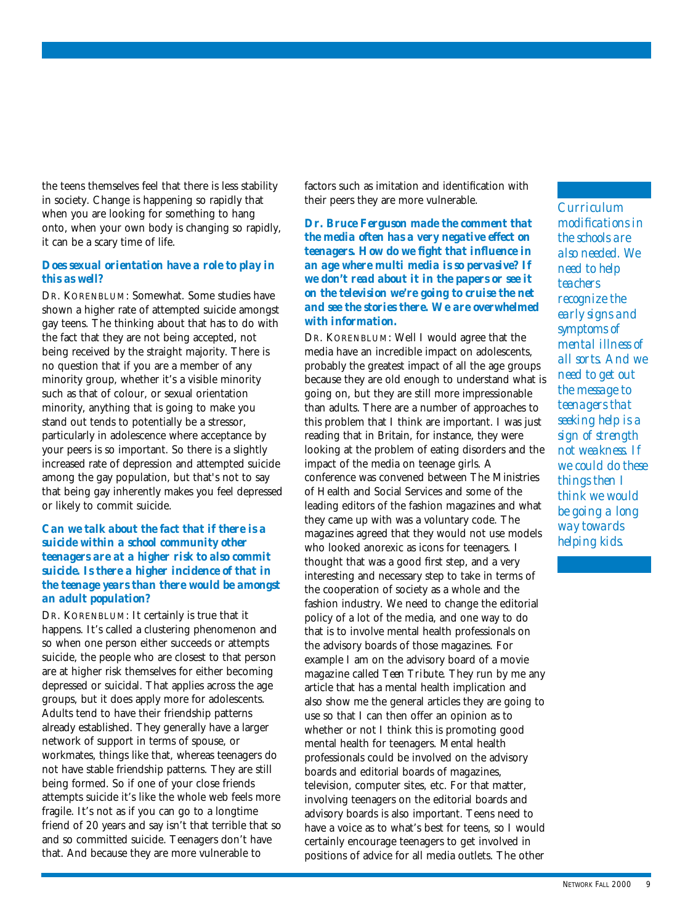the teens themselves feel that there is less stability in society. Change is happening so rapidly that when you are looking for something to hang onto, when your own body is changing so rapidly, it can be a scary time of life.

#### *Does sexual orientation have a role to play in this as well?*

DR. KORENBLUM: Somewhat. Some studies have shown a higher rate of attempted suicide amongst gay teens. The thinking about that has to do with the fact that they are not being accepted, not being received by the straight majority. There is no question that if you are a member of any minority group, whether it's a visible minority such as that of colour, or sexual orientation minority, anything that is going to make you stand out tends to potentially be a stressor, particularly in adolescence where acceptance by your peers is so important. So there is a slightly increased rate of depression and attempted suicide among the gay population, but that's not to say that being gay inherently makes you feel depressed or likely to commit suicide.

#### *Can we talk about the fact that if there is a suicide within a school community other teenagers are at a higher risk to also commit suicide. Is there a higher incidence of that in the teenage years than there would be amongst an adult population?*

DR. KORENBLUM: It certainly is true that it happens. It's called a clustering phenomenon and so when one person either succeeds or attempts suicide, the people who are closest to that person are at higher risk themselves for either becoming depressed or suicidal. That applies across the age groups, but it does apply more for adolescents. Adults tend to have their friendship patterns already established. They generally have a larger network of support in terms of spouse, or workmates, things like that, whereas teenagers do not have stable friendship patterns. They are still being formed. So if one of your close friends attempts suicide it's like the whole web feels more fragile. It's not as if you can go to a longtime friend of 20 years and say isn't that terrible that so and so committed suicide. Teenagers don't have that. And because they are more vulnerable to

factors such as imitation and identification with their peers they are more vulnerable.

*Dr. Bruce Ferguson made the comment that the media often has a very negative effect on teenagers. How do we fight that influence in an age where multi media is so pervasive? If we don't read about it in the papers or see it on the television we're going to cruise the net and see the stories there. We are overwhelmed with information.*

DR. KORENBLUM: Well I would agree that the media have an incredible impact on adolescents, probably the greatest impact of all the age groups because they are old enough to understand what is going on, but they are still more impressionable than adults. There are a number of approaches to this problem that I think are important. I was just reading that in Britain, for instance, they were looking at the problem of eating disorders and the impact of the media on teenage girls. A conference was convened between The Ministries of Health and Social Services and some of the leading editors of the fashion magazines and what they came up with was a voluntary code. The magazines agreed that they would not use models who looked anorexic as icons for teenagers. I thought that was a good first step, and a very interesting and necessary step to take in terms of the cooperation of society as a whole and the fashion industry. We need to change the editorial policy of a lot of the media, and one way to do that is to involve mental health professionals on the advisory boards of those magazines. For example I am on the advisory board of a movie magazine called *Teen Tribute*. They run by me any article that has a mental health implication and also show me the general articles they are going to use so that I can then offer an opinion as to whether or not I think this is promoting good mental health for teenagers. Mental health professionals could be involved on the advisory boards and editorial boards of magazines, television, computer sites, etc. For that matter, involving teenagers on the editorial boards and advisory boards is also important. Teens need to have a voice as to what's best for teens, so I would certainly encourage teenagers to get involved in positions of advice for all media outlets. The other

*Curriculum*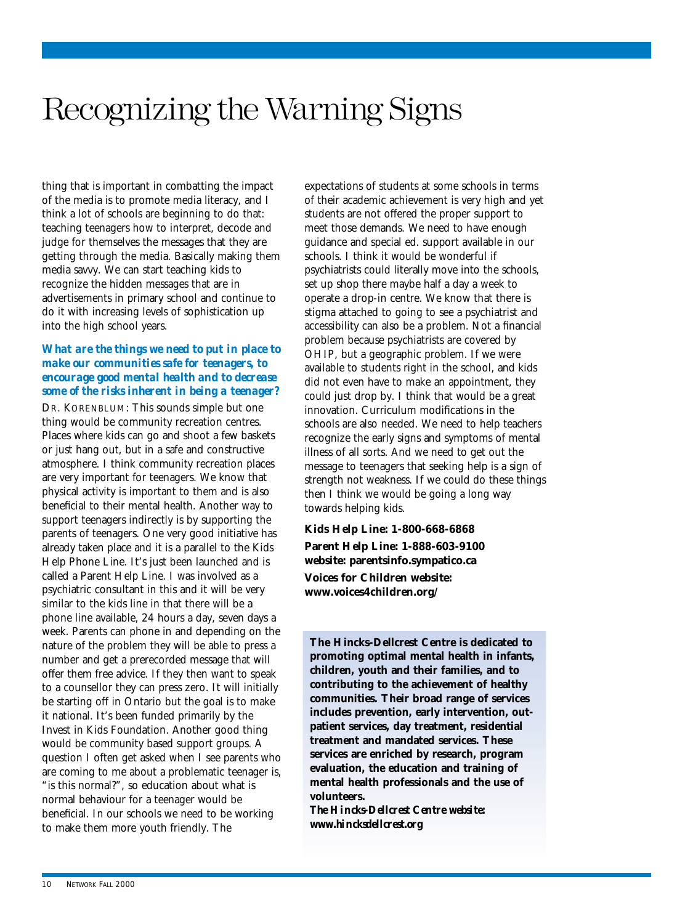### Recognizing the Warning Signs

thing that is important in combatting the impact of the media is to promote media literacy, and I think a lot of schools are beginning to do that: teaching teenagers how to interpret, decode and judge for themselves the messages that they are getting through the media. Basically making them media savvy. We can start teaching kids to recognize the hidden messages that are in advertisements in primary school and continue to do it with increasing levels of sophistication up into the high school years.

#### *What are the things we need to put in place to make our communities safe for teenagers, to encourage good mental health and to decrease some of the risks inherent in being a teenager?*

DR. KORENBLUM: This sounds simple but one thing would be community recreation centres. Places where kids can go and shoot a few baskets or just hang out, but in a safe and constructive atmosphere. I think community recreation places are very important for teenagers. We know that physical activity is important to them and is also beneficial to their mental health. Another way to support teenagers indirectly is by supporting the parents of teenagers. One very good initiative has already taken place and it is a parallel to the Kids Help Phone Line. It's just been launched and is called a Parent Help Line. I was involved as a psychiatric consultant in this and it will be very similar to the kids line in that there will be a phone line available, 24 hours a day, seven days a week. Parents can phone in and depending on the nature of the problem they will be able to press a number and get a prerecorded message that will offer them free advice. If they then want to speak to a counsellor they can press zero. It will initially be starting off in Ontario but the goal is to make it national. It's been funded primarily by the Invest in Kids Foundation. Another good thing would be community based support groups. A question I often get asked when I see parents who are coming to me about a problematic teenager is, "is this normal?", so education about what is normal behaviour for a teenager would be beneficial. In our schools we need to be working to make them more youth friendly. The

expectations of students at some schools in terms of their academic achievement is very high and yet students are not offered the proper support to meet those demands. We need to have enough guidance and special ed. support available in our schools. I think it would be wonderful if psychiatrists could literally move into the schools, set up shop there maybe half a day a week to operate a drop-in centre. We know that there is stigma attached to going to see a psychiatrist and accessibility can also be a problem. Not a financial problem because psychiatrists are covered by OHIP, but a geographic problem. If we were available to students right in the school, and kids did not even have to make an appointment, they could just drop by. I think that would be a great innovation. Curriculum modifications in the schools are also needed. We need to help teachers recognize the early signs and symptoms of mental illness of all sorts. And we need to get out the message to teenagers that seeking help is a sign of strength not weakness. If we could do these things then I think we would be going a long way towards helping kids.

#### **Kids Help Line: 1-800-668-6868**

**Parent Help Line: 1-888-603-9100 website: parentsinfo.sympatico.ca Voices for Children website: www.voices4children.org/**

**The Hincks-Dellcrest Centre is dedicated to promoting optimal mental health in infants, children, youth and their families, and to contributing to the achievement of healthy communities. Their broad range of services includes prevention, early intervention, outpatient services, day treatment, residential treatment and mandated services. These services are enriched by research, program evaluation, the education and training of mental health professionals and the use of volunteers.**

*The Hincks-Dellcrest Centre website: www.hincksdellcrest.org*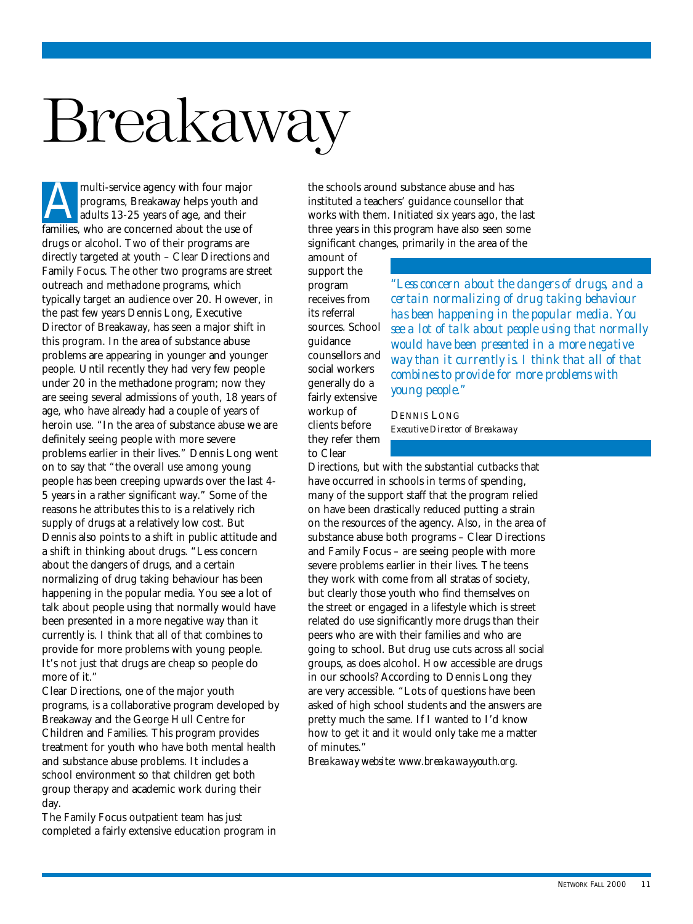## <span id="page-9-0"></span>Breakaway

multi-service agency with four major programs, Breakaway helps youth and adults 13-25 years of age, and their multi-service agency with four major<br>programs, Breakaway helps youth an<br>adults 13-25 years of age, and their<br>families, who are concerned about the use of drugs or alcohol. Two of their programs are directly targeted at youth – Clear Directions and Family Focus. The other two programs are street outreach and methadone programs, which typically target an audience over 20. However, in the past few years Dennis Long, Executive Director of Breakaway, has seen a major shift in this program. In the area of substance abuse problems are appearing in younger and younger people. Until recently they had very few people under 20 in the methadone program; now they are seeing several admissions of youth, 18 years of age, who have already had a couple of years of heroin use. "In the area of substance abuse we are definitely seeing people with more severe problems earlier in their lives." Dennis Long went on to say that "the overall use among young people has been creeping upwards over the last 4- 5 years in a rather significant way." Some of the reasons he attributes this to is a relatively rich supply of drugs at a relatively low cost. But Dennis also points to a shift in public attitude and a shift in thinking about drugs. "Less concern about the dangers of drugs, and a certain normalizing of drug taking behaviour has been happening in the popular media. You see a lot of talk about people using that normally would have been presented in a more negative way than it currently is. I think that all of that combines to provide for more problems with young people. It's not just that drugs are cheap so people do more of it."

Clear Directions, one of the major youth programs, is a collaborative program developed by Breakaway and the George Hull Centre for Children and Families. This program provides treatment for youth who have both mental health and substance abuse problems. It includes a school environment so that children get both group therapy and academic work during their day.

The Family Focus outpatient team has just completed a fairly extensive education program in the schools around substance abuse and has instituted a teachers' guidance counsellor that works with them. Initiated six years ago, the last three years in this program have also seen some significant changes, primarily in the area of the

amount of support the program receives from its referral sources. School guidance counsellors and social workers generally do a fairly extensive workup of clients before they refer them to Clear

*"Less concern about the dangers of drugs, and a certain normalizing of drug taking behaviour has been happening in the popular media. You see a lot of talk about people using that normally would have been presented in a more negative way than it currently is. I think that all of that combines to provide for more problems with young people."*

DENNIS LONG *Executive Director of Breakaway*

Directions, but with the substantial cutbacks that have occurred in schools in terms of spending, many of the support staff that the program relied on have been drastically reduced putting a strain on the resources of the agency. Also, in the area of substance abuse both programs – Clear Directions and Family Focus – are seeing people with more severe problems earlier in their lives. The teens they work with come from all stratas of society, but clearly those youth who find themselves on the street or engaged in a lifestyle which is street related do use significantly more drugs than their peers who are with their families and who are going to school. But drug use cuts across all social groups, as does alcohol. How accessible are drugs in our schools? According to Dennis Long they are very accessible. "Lots of questions have been asked of high school students and the answers are pretty much the same. If I wanted to I'd know how to get it and it would only take me a matter of minutes."

*Breakaway website: www.breakawayyouth.org.*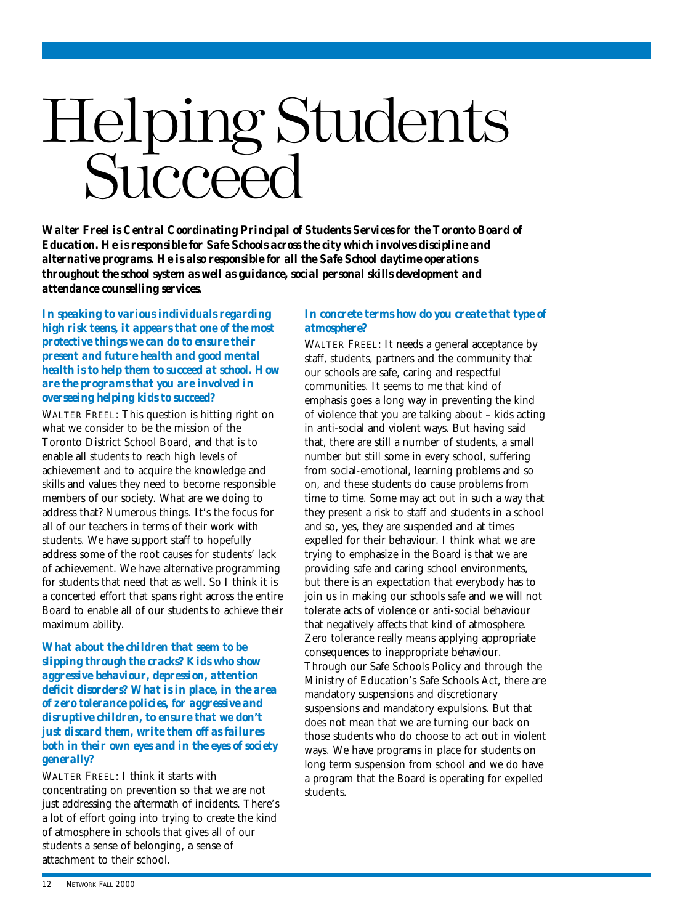## <span id="page-10-0"></span>Helping Students **Succeed**

*Walter Freel is Central Coordinating Principal of Students Services for the Toronto Board of Education. He is responsible for Safe Schools across the city which involves discipline and alternative programs. He is also responsible for all the Safe School daytime operations throughout the school system as well as guidance, social personal skills development and attendance counselling services.*

*In speaking to various individuals regarding high risk teens, it appears that one of the most protective things we can do to ensure their present and future health and good mental health is to help them to succeed at school. How are the programs that you are involved in overseeing helping kids to succeed?*

WALTER FREEL: This question is hitting right on what we consider to be the mission of the Toronto District School Board, and that is to enable all students to reach high levels of achievement and to acquire the knowledge and skills and values they need to become responsible members of our society. What are we doing to address that? Numerous things. It's the focus for all of our teachers in terms of their work with students. We have support staff to hopefully address some of the root causes for students' lack of achievement. We have alternative programming for students that need that as well. So I think it is a concerted effort that spans right across the entire Board to enable all of our students to achieve their maximum ability.

*What about the children that seem to be slipping through the cracks? Kids who show aggressive behaviour, depression, attention deficit disorders? What is in place, in the area of zero tolerance policies, for aggressive and disruptive children, to ensure that we don't just discard them, write them off as failures both in their own eyes and in the eyes of society generally?*

WALTER FREEL: I think it starts with concentrating on prevention so that we are not just addressing the aftermath of incidents. There's a lot of effort going into trying to create the kind of atmosphere in schools that gives all of our students a sense of belonging, a sense of attachment to their school.

#### *In concrete terms how do you create that type of atmosphere?*

WALTER FREEL: It needs a general acceptance by staff, students, partners and the community that our schools are safe, caring and respectful communities. It seems to me that kind of emphasis goes a long way in preventing the kind of violence that you are talking about – kids acting in anti-social and violent ways. But having said that, there are still a number of students, a small number but still some in every school, suffering from social-emotional, learning problems and so on, and these students do cause problems from time to time. Some may act out in such a way that they present a risk to staff and students in a school and so, yes, they are suspended and at times expelled for their behaviour. I think what we are trying to emphasize in the Board is that we are providing safe and caring school environments, but there is an expectation that everybody has to join us in making our schools safe and we will not tolerate acts of violence or anti-social behaviour that negatively affects that kind of atmosphere. Zero tolerance really means applying appropriate consequences to inappropriate behaviour. Through our Safe Schools Policy and through the Ministry of Education's Safe Schools Act, there are mandatory suspensions and discretionary suspensions and mandatory expulsions. But that does not mean that we are turning our back on those students who do choose to act out in violent ways. We have programs in place for students on long term suspension from school and we do have a program that the Board is operating for expelled students.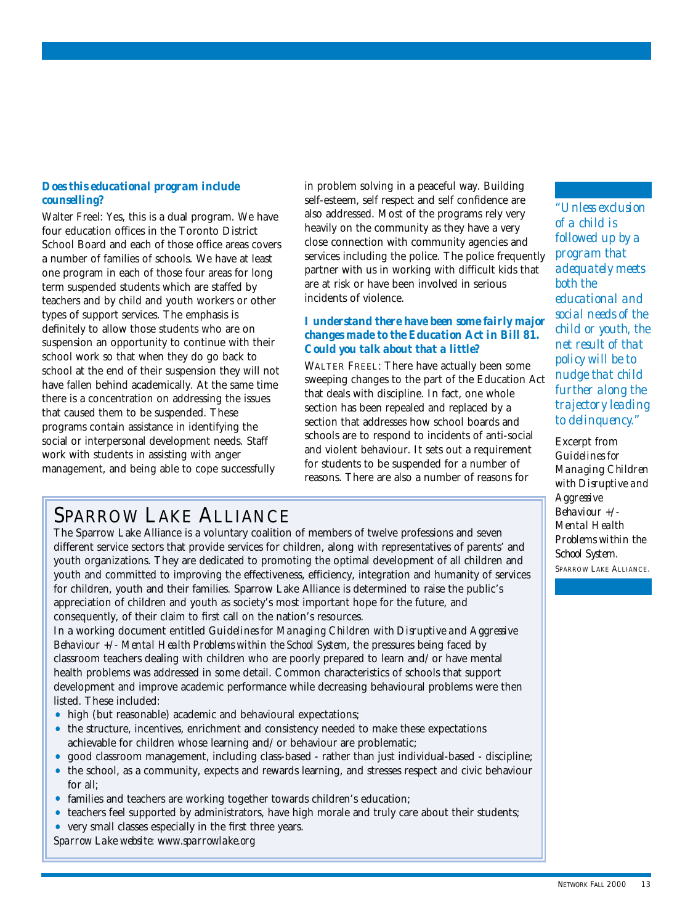#### *Does this educational program include counselling?*

Walter Freel: Yes, this is a dual program. We have four education offices in the Toronto District School Board and each of those office areas covers a number of families of schools. We have at least one program in each of those four areas for long term suspended students which are staffed by teachers and by child and youth workers or other types of support services. The emphasis is definitely to allow those students who are on suspension an opportunity to continue with their school work so that when they do go back to school at the end of their suspension they will not have fallen behind academically. At the same time there is a concentration on addressing the issues that caused them to be suspended. These programs contain assistance in identifying the social or interpersonal development needs. Staff work with students in assisting with anger management, and being able to cope successfully

in problem solving in a peaceful way. Building self-esteem, self respect and self confidence are also addressed. Most of the programs rely very heavily on the community as they have a very close connection with community agencies and services including the police. The police frequently partner with us in working with difficult kids that are at risk or have been involved in serious incidents of violence.

#### *I understand there have been some fairly major changes made to the Education Act in Bill 81. Could you talk about that a little?*

WALTER FREEL: There have actually been some sweeping changes to the part of the Education Act that deals with discipline. In fact, one whole section has been repealed and replaced by a section that addresses how school boards and schools are to respond to incidents of anti-social and violent behaviour. It sets out a requirement for students to be suspended for a number of reasons. There are also a number of reasons for

#### SPARROW LAKE ALLIANCE

The Sparrow Lake Alliance is a voluntary coalition of members of twelve professions and seven different service sectors that provide services for children, along with representatives of parents' and youth organizations. They are dedicated to promoting the optimal development of all children and youth and committed to improving the effectiveness, efficiency, integration and humanity of services for children, youth and their families. Sparrow Lake Alliance is determined to raise the public's appreciation of children and youth as society's most important hope for the future, and consequently, of their claim to first call on the nation's resources.

In a working document entitled *Guidelines for Managing Children with Disruptive and Aggressive Behaviour +/- Mental Health Problems within the School System*, the pressures being faced by classroom teachers dealing with children who are poorly prepared to learn and/or have mental health problems was addressed in some detail. Common characteristics of schools that support development and improve academic performance while decreasing behavioural problems were then listed. These included:

- high (but reasonable) academic and behavioural expectations;
- the structure, incentives, enrichment and consistency needed to make these expectations achievable for children whose learning and/or behaviour are problematic;
- good classroom management, including class-based rather than just individual-based discipline;
- the school, as a community, expects and rewards learning, and stresses respect and civic behaviour for all;
- families and teachers are working together towards children's education;
- teachers feel supported by administrators, have high morale and truly care about their students;
- very small classes especially in the first three years.

*Sparrow Lake website: www.sparrowlake.org*

*"Unless exclusion of a child is followed up by a program that adequately meets both the educational and social needs of the child or youth, the net result of that policy will be to nudge that child further along the trajectory leading to delinquency."*

Excerpt from *Guidelines for Managing Children with Disruptive and Aggressive Behaviour +/- Mental Health Problems within the School System.* SPARROW LAKE ALLIANCE.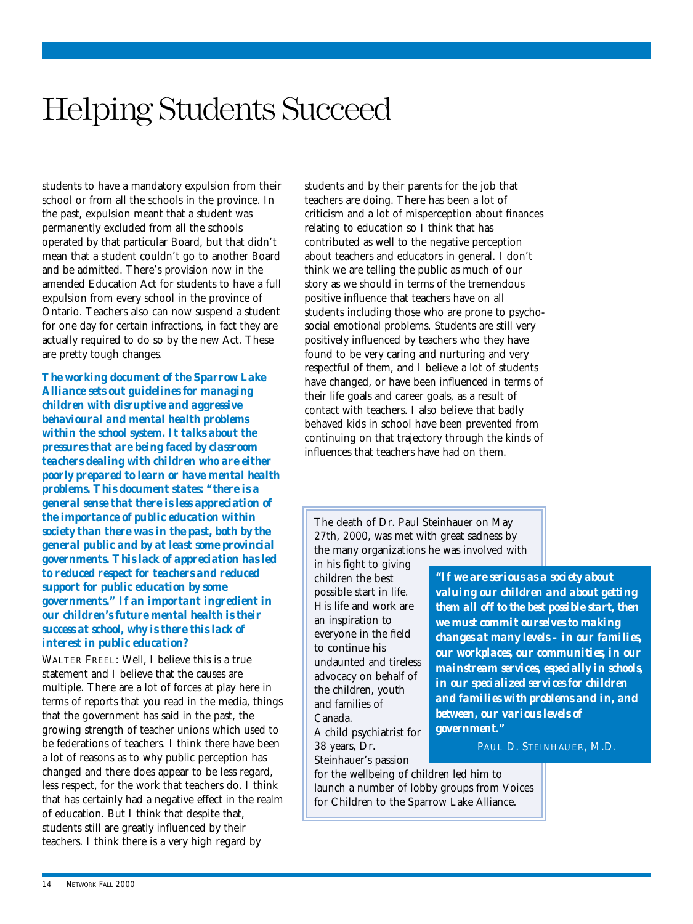### Helping Students Succeed

students to have a mandatory expulsion from their school or from all the schools in the province. In the past, expulsion meant that a student was permanently excluded from all the schools operated by that particular Board, but that didn't mean that a student couldn't go to another Board and be admitted. There's provision now in the amended Education Act for students to have a full expulsion from every school in the province of Ontario. Teachers also can now suspend a student for one day for certain infractions, in fact they are actually required to do so by the new Act. These are pretty tough changes.

*The working document of the Sparrow Lake Alliance sets out guidelines for managing children with disruptive and aggressive behavioural and mental health problems within the school system. It talks about the pressures that are being faced by classroom teachers dealing with children who are either poorly prepared to learn or have mental health problems. This document states: "there is a general sense that there is less appreciation of the importance of public education within society than there was in the past, both by the general public and by at least some provincial governments. This lack of appreciation has led to reduced respect for teachers and reduced support for public education by some governments." If an important ingredient in our children's future mental health is their success at school, why is there this lack of interest in public education?*

WALTER FREEL: Well, I believe this is a true statement and I believe that the causes are multiple. There are a lot of forces at play here in terms of reports that you read in the media, things that the government has said in the past, the growing strength of teacher unions which used to be federations of teachers. I think there have been a lot of reasons as to why public perception has changed and there does appear to be less regard, less respect, for the work that teachers do. I think that has certainly had a negative effect in the realm of education. But I think that despite that, students still are greatly influenced by their teachers. I think there is a very high regard by

students and by their parents for the job that teachers are doing. There has been a lot of criticism and a lot of misperception about finances relating to education so I think that has contributed as well to the negative perception about teachers and educators in general. I don't think we are telling the public as much of our story as we should in terms of the tremendous positive influence that teachers have on all students including those who are prone to psychosocial emotional problems. Students are still very positively influenced by teachers who they have found to be very caring and nurturing and very respectful of them, and I believe a lot of students have changed, or have been influenced in terms of their life goals and career goals, as a result of contact with teachers. I also believe that badly behaved kids in school have been prevented from continuing on that trajectory through the kinds of influences that teachers have had on them.

The death of Dr. Paul Steinhauer on May 27th, 2000, was met with great sadness by the many organizations he was involved with

in his fight to giving children the best possible start in life. His life and work are an inspiration to everyone in the field to continue his undaunted and tireless advocacy on behalf of the children, youth and families of Canada. A child psychiatrist for

38 years, Dr. Steinhauer's passion

*"If we are serious as a society about valuing our children and about getting them all off to the best possible start, then we must commit ourselves to making changes at many levels – in our families, our workplaces, our communities, in our mainstream services, especially in schools, in our specialized services for children and families with problems and in, and between, our various levels of government."*

PAUL D. STEINHAUER, M.D.

for the wellbeing of children led him to launch a number of lobby groups from Voices for Children to the Sparrow Lake Alliance.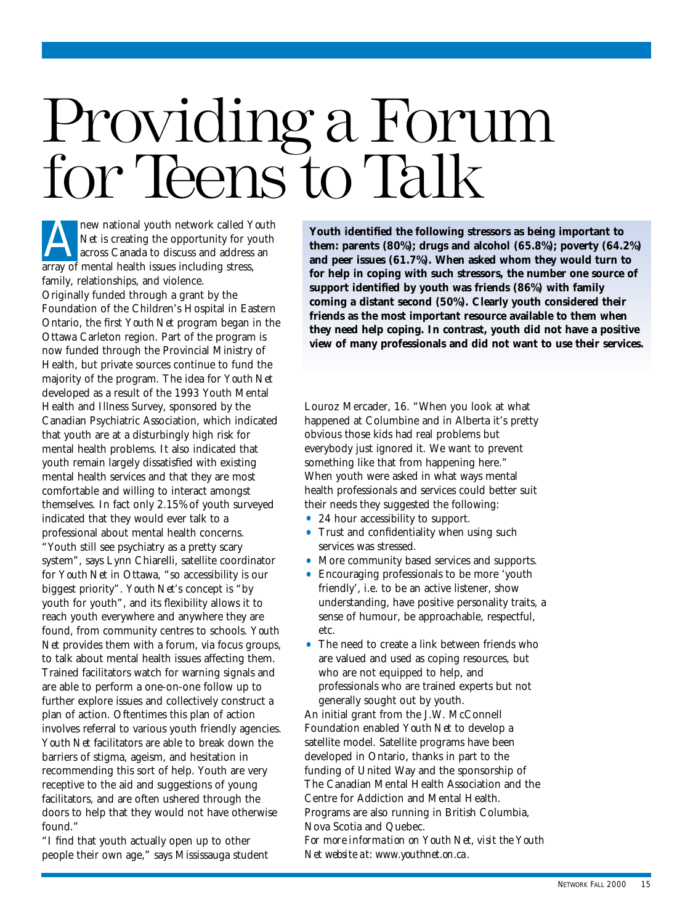## <span id="page-13-0"></span>Providing a Forum for Teens to Talk

new national youth network called *Youth Net* is creating the opportunity for youth across Canada to discuss and address an **ARR** new national youth network called Y<br>
Net is creating the opportunity for year<br>
across Canada to discuss and address<br>
array of mental health issues including stress, family, relationships, and violence. Originally funded through a grant by the Foundation of the Children's Hospital in Eastern Ontario, the first *Youth Net* program began in the Ottawa Carleton region. Part of the program is now funded through the Provincial Ministry of Health, but private sources continue to fund the majority of the program. The idea for *Youth Net* developed as a result of the 1993 Youth Mental Health and Illness Survey, sponsored by the Canadian Psychiatric Association, which indicated that youth are at a disturbingly high risk for mental health problems. It also indicated that youth remain largely dissatisfied with existing mental health services and that they are most comfortable and willing to interact amongst themselves. In fact only 2.15% of youth surveyed indicated that they would ever talk to a professional about mental health concerns. "Youth still see psychiatry as a pretty scary system", says Lynn Chiarelli, satellite coordinator for *Youth Net* in Ottawa, "so accessibility is our biggest priority". *Youth Net*'s concept is "by youth for youth", and its flexibility allows it to reach youth everywhere and anywhere they are found, from community centres to schools. *Youth Net* provides them with a forum, via focus groups, to talk about mental health issues affecting them. Trained facilitators watch for warning signals and are able to perform a one-on-one follow up to further explore issues and collectively construct a plan of action. Oftentimes this plan of action involves referral to various youth friendly agencies. *Youth Net* facilitators are able to break down the barriers of stigma, ageism, and hesitation in recommending this sort of help. Youth are very receptive to the aid and suggestions of young facilitators, and are often ushered through the doors to help that they would not have otherwise found."

"I find that youth actually open up to other people their own age," says Mississauga student

**Youth identified the following stressors as being important to them: parents (80%); drugs and alcohol (65.8%); poverty (64.2%) and peer issues (61.7%). When asked whom they would turn to for help in coping with such stressors, the number one source of support identified by youth was friends (86%) with family coming a distant second (50%). Clearly youth considered their friends as the most important resource available to them when they need help coping. In contrast, youth did not have a positive view of many professionals and did not want to use their services.**

Louroz Mercader, 16. "When you look at what happened at Columbine and in Alberta it's pretty obvious those kids had real problems but everybody just ignored it. We want to prevent something like that from happening here." When youth were asked in what ways mental health professionals and services could better suit their needs they suggested the following:

- 24 hour accessibility to support.
- Trust and confidentiality when using such services was stressed.
- More community based services and supports.
- Encouraging professionals to be more 'youth friendly', i.e. to be an active listener, show understanding, have positive personality traits, a sense of humour, be approachable, respectful, etc.
- The need to create a link between friends who are valued and used as coping resources, but who are not equipped to help, and professionals who are trained experts but not generally sought out by youth.

An initial grant from the J.W. McConnell Foundation enabled *Youth Net* to develop a satellite model. Satellite programs have been developed in Ontario, thanks in part to the funding of United Way and the sponsorship of The Canadian Mental Health Association and the Centre for Addiction and Mental Health. Programs are also running in British Columbia, Nova Scotia and Quebec. *For more information on Youth Net, visit the Youth*

*Net website at: www.youthnet.on.ca.*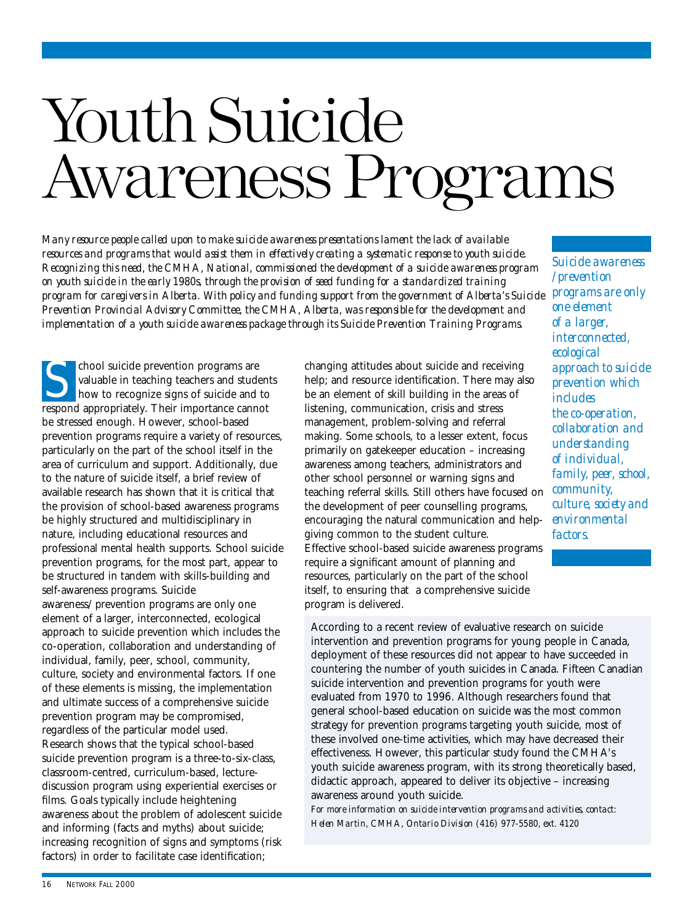## <span id="page-14-0"></span>Youth Suicide Awareness Programs

*Many resource people called upon to make suicide awareness presentations lament the lack of available resources and programs that would assist them in effectively creating a systematic response to youth suicide. Recognizing this need, the CMHA, National, commissioned the development of a suicide awareness program on youth suicide in the early 1980s, through the provision of seed funding for a standardized training program for caregivers in Alberta. With policy and funding support from the government of Alberta's Suicide Prevention Provincial Advisory Committee, the CMHA, Alberta, was responsible for the development and implementation of a youth suicide awareness package through its Suicide Prevention Training Programs.* 

chool suicide prevention programs are valuable in teaching teachers and students how to recognize signs of suicide and to chool suicide prevention programs are<br>valuable in teaching teachers and studen<br>how to recognize signs of suicide and to<br>respond appropriately. Their importance cannot be stressed enough. However, school-based prevention programs require a variety of resources, particularly on the part of the school itself in the area of curriculum and support. Additionally, due to the nature of suicide itself, a brief review of available research has shown that it is critical that the provision of school-based awareness programs be highly structured and multidisciplinary in nature, including educational resources and professional mental health supports. School suicide prevention programs, for the most part, appear to be structured in tandem with skills-building and self-awareness programs. Suicide awareness/prevention programs are only one element of a larger, interconnected, ecological approach to suicide prevention which includes the co-operation, collaboration and understanding of individual, family, peer, school, community, culture, society and environmental factors. If one of these elements is missing, the implementation and ultimate success of a comprehensive suicide prevention program may be compromised, regardless of the particular model used. Research shows that the typical school-based suicide prevention program is a three-to-six-class, classroom-centred, curriculum-based, lecturediscussion program using experiential exercises or films. Goals typically include heightening awareness about the problem of adolescent suicide and informing (facts and myths) about suicide; increasing recognition of signs and symptoms (risk factors) in order to facilitate case identification;

changing attitudes about suicide and receiving help; and resource identification. There may also be an element of skill building in the areas of listening, communication, crisis and stress management, problem-solving and referral making. Some schools, to a lesser extent, focus primarily on gatekeeper education – increasing awareness among teachers, administrators and other school personnel or warning signs and teaching referral skills. Still others have focused on the development of peer counselling programs, encouraging the natural communication and helpgiving common to the student culture. Effective school-based suicide awareness programs require a significant amount of planning and resources, particularly on the part of the school itself, to ensuring that a comprehensive suicide program is delivered.

*Suicide awareness /prevention programs are only one element of a larger, interconnected, ecological approach to suicide prevention which includes the co-operation, collaboration and understanding of individual, family, peer, school, community, culture, society and environmental factors.*

According to a recent review of evaluative research on suicide intervention and prevention programs for young people in Canada, deployment of these resources did not appear to have succeeded in countering the number of youth suicides in Canada. Fifteen Canadian suicide intervention and prevention programs for youth were evaluated from 1970 to 1996. Although researchers found that general school-based education on suicide was the most common strategy for prevention programs targeting youth suicide, most of these involved one-time activities, which may have decreased their effectiveness. However, this particular study found the CMHA's youth suicide awareness program, with its strong theoretically based, didactic approach, appeared to deliver its objective – increasing awareness around youth suicide.

*For more information on suicide intervention programs and activities, contact: Helen Martin, CMHA, Ontario Division (416) 977-5580, ext. 4120*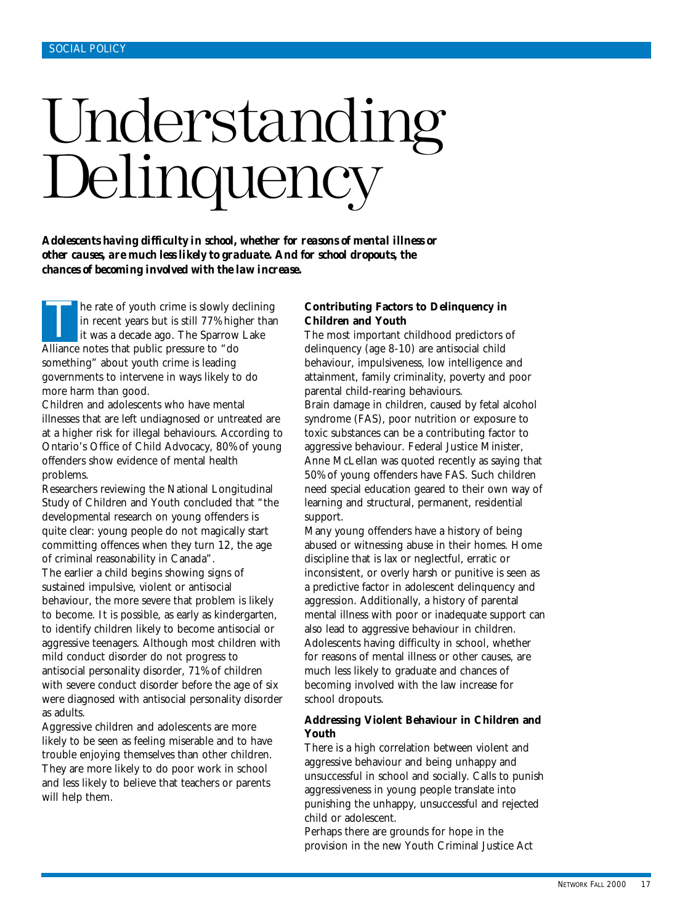## <span id="page-15-0"></span>Understanding Delinquency

*Adolescents having difficulty in school, whether for reasons of mental illness or other causes, are much less likely to graduate. And for school dropouts, the chances of becoming involved with the law increase.*

he rate of youth crime is slowly declining in recent years but is still 77% higher than it was a decade ago. The Sparrow Lake Alliance notes that public pressure to "do something" about youth crime is leading governments to intervene in ways likely to do more harm than good. T

Children and adolescents who have mental illnesses that are left undiagnosed or untreated are at a higher risk for illegal behaviours. According to Ontario's Office of Child Advocacy, 80% of young offenders show evidence of mental health problems.

Researchers reviewing the National Longitudinal Study of Children and Youth concluded that "the developmental research on young offenders is quite clear: young people do not magically start committing offences when they turn 12, the age of criminal reasonability in Canada". The earlier a child begins showing signs of sustained impulsive, violent or antisocial behaviour, the more severe that problem is likely to become. It is possible, as early as kindergarten, to identify children likely to become antisocial or aggressive teenagers. Although most children with mild conduct disorder do not progress to antisocial personality disorder, 71% of children with severe conduct disorder before the age of six were diagnosed with antisocial personality disorder as adults.

Aggressive children and adolescents are more likely to be seen as feeling miserable and to have trouble enjoying themselves than other children. They are more likely to do poor work in school and less likely to believe that teachers or parents will help them.

#### **Contributing Factors to Delinquency in Children and Youth**

The most important childhood predictors of delinquency (age 8-10) are antisocial child behaviour, impulsiveness, low intelligence and attainment, family criminality, poverty and poor parental child-rearing behaviours. Brain damage in children, caused by fetal alcohol syndrome (FAS), poor nutrition or exposure to toxic substances can be a contributing factor to aggressive behaviour. Federal Justice Minister, Anne McLellan was quoted recently as saying that 50% of young offenders have FAS. Such children need special education geared to their own way of learning and structural, permanent, residential support.

Many young offenders have a history of being abused or witnessing abuse in their homes. Home discipline that is lax or neglectful, erratic or inconsistent, or overly harsh or punitive is seen as a predictive factor in adolescent delinquency and aggression. Additionally, a history of parental mental illness with poor or inadequate support can also lead to aggressive behaviour in children. Adolescents having difficulty in school, whether for reasons of mental illness or other causes, are much less likely to graduate and chances of becoming involved with the law increase for school dropouts.

#### **Addressing Violent Behaviour in Children and Youth**

There is a high correlation between violent and aggressive behaviour and being unhappy and unsuccessful in school and socially. Calls to punish aggressiveness in young people translate into punishing the unhappy, unsuccessful and rejected child or adolescent.

Perhaps there are grounds for hope in the provision in the new Youth Criminal Justice Act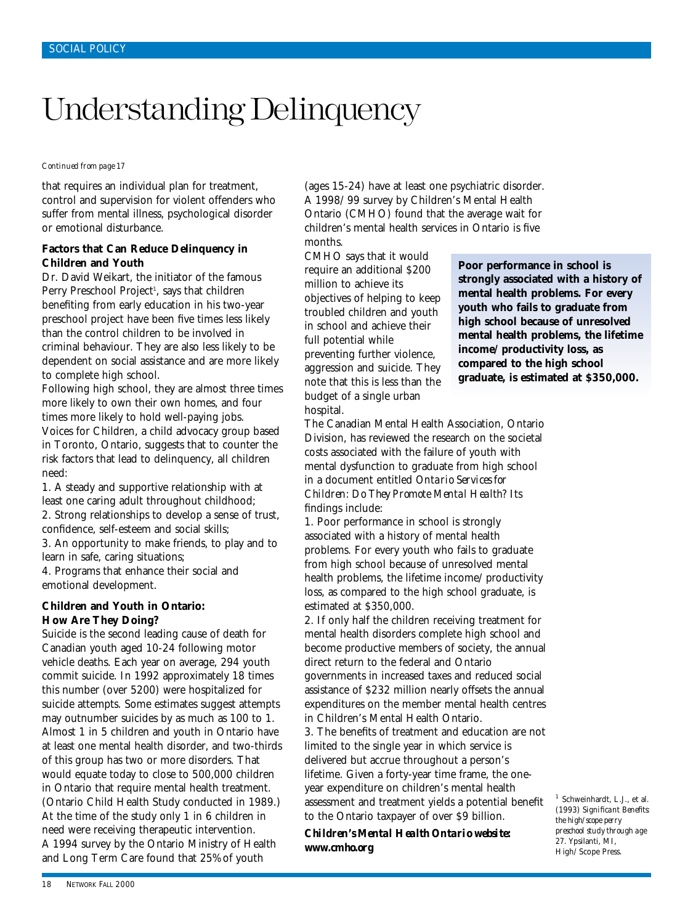### Understanding Delinquency

*Continued from page 17*

that requires an individual plan for treatment, control and supervision for violent offenders who suffer from mental illness, psychological disorder or emotional disturbance.

#### **Factors that Can Reduce Delinquency in Children and Youth**

Dr. David Weikart, the initiator of the famous Perry Preschool Project<sup>1</sup>, says that children benefiting from early education in his two-year preschool project have been five times less likely than the control children to be involved in criminal behaviour. They are also less likely to be dependent on social assistance and are more likely to complete high school.

Following high school, they are almost three times more likely to own their own homes, and four times more likely to hold well-paying jobs. Voices for Children, a child advocacy group based in Toronto, Ontario, suggests that to counter the risk factors that lead to delinquency, all children need:

1. A steady and supportive relationship with at least one caring adult throughout childhood; 2. Strong relationships to develop a sense of trust, confidence, self-esteem and social skills;

3. An opportunity to make friends, to play and to learn in safe, caring situations;

4. Programs that enhance their social and emotional development.

#### **Children and Youth in Ontario: How Are They Doing?**

Suicide is the second leading cause of death for Canadian youth aged 10-24 following motor vehicle deaths. Each year on average, 294 youth commit suicide. In 1992 approximately 18 times this number (over 5200) were hospitalized for suicide attempts. Some estimates suggest attempts may outnumber suicides by as much as 100 to 1. Almost 1 in 5 children and youth in Ontario have at least one mental health disorder, and two-thirds of this group has two or more disorders. That would equate today to close to 500,000 children in Ontario that require mental health treatment. (Ontario Child Health Study conducted in 1989.) At the time of the study only 1 in 6 children in need were receiving therapeutic intervention. A 1994 survey by the Ontario Ministry of Health and Long Term Care found that 25% of youth

(ages 15-24) have at least one psychiatric disorder. A 1998/99 survey by Children's Mental Health Ontario (CMHO) found that the average wait for children's mental health services in Ontario is five months.

CMHO says that it would require an additional \$200 million to achieve its objectives of helping to keep troubled children and youth in school and achieve their full potential while preventing further violence, aggression and suicide. They note that this is less than the budget of a single urban hospital.

**Poor performance in school is strongly associated with a history of mental health problems. For every youth who fails to graduate from high school because of unresolved mental health problems, the lifetime income/productivity loss, as compared to the high school graduate, is estimated at \$350,000.**

The Canadian Mental Health Association, Ontario Division, has reviewed the research on the societal costs associated with the failure of youth with mental dysfunction to graduate from high school in a document entitled *Ontario Services for Children: Do They Promote Mental Health?* Its findings include:

1. Poor performance in school is strongly associated with a history of mental health problems. For every youth who fails to graduate from high school because of unresolved mental health problems, the lifetime income/productivity loss, as compared to the high school graduate, is estimated at \$350,000.

2. If only half the children receiving treatment for mental health disorders complete high school and become productive members of society, the annual direct return to the federal and Ontario governments in increased taxes and reduced social assistance of \$232 million nearly offsets the annual expenditures on the member mental health centres in Children's Mental Health Ontario. 3. The benefits of treatment and education are not limited to the single year in which service is delivered but accrue throughout a person's

lifetime. Given a forty-year time frame, the oneyear expenditure on children's mental health assessment and treatment yields a potential benefit to the Ontario taxpayer of over \$9 billion.

*Children's Mental Health Ontario website: www.cmho.org*

<sup>1</sup> Schweinhardt, L.J., et al. (1993) *Significant Benefits: the high/scope perry preschool study through age 27.* Ypsilanti, MI, High/Scope Press.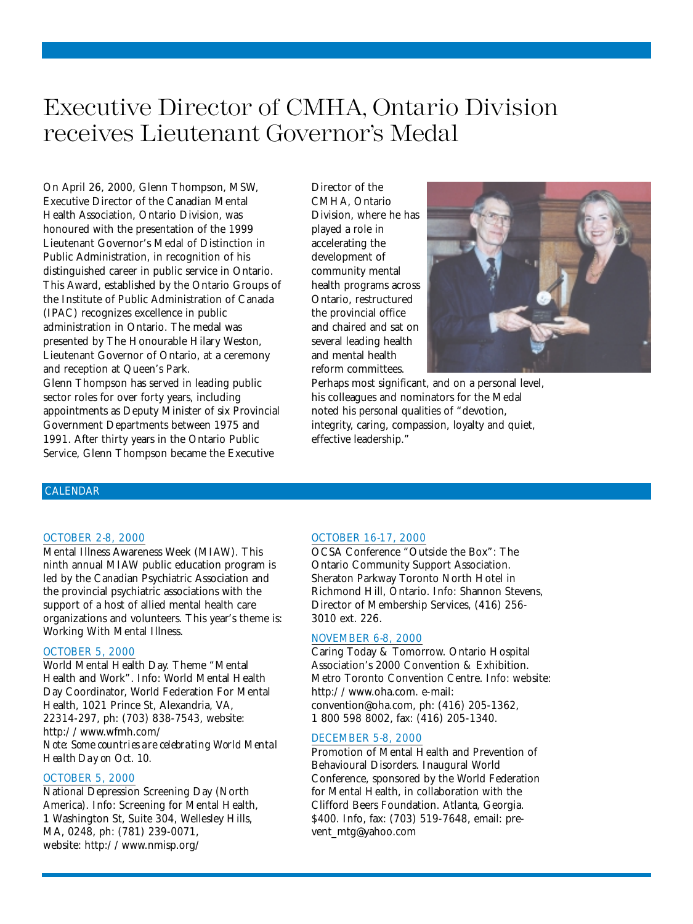### <span id="page-17-0"></span>Executive Director of CMHA, Ontario Division receives Lieutenant Governor's Medal

On April 26, 2000, Glenn Thompson, MSW, Executive Director of the Canadian Mental Health Association, Ontario Division, was honoured with the presentation of the 1999 Lieutenant Governor's Medal of Distinction in Public Administration, in recognition of his distinguished career in public service in Ontario. This Award, established by the Ontario Groups of the Institute of Public Administration of Canada (IPAC) recognizes excellence in public administration in Ontario. The medal was presented by The Honourable Hilary Weston, Lieutenant Governor of Ontario, at a ceremony and reception at Queen's Park. Glenn Thompson has served in leading public sector roles for over forty years, including appointments as Deputy Minister of six Provincial Government Departments between 1975 and 1991. After thirty years in the Ontario Public Service, Glenn Thompson became the Executive

Director of the CMHA, Ontario Division, where he has played a role in accelerating the development of community mental health programs across Ontario, restructured the provincial office and chaired and sat on several leading health and mental health reform committees.



Perhaps most significant, and on a personal level, his colleagues and nominators for the Medal noted his personal qualities of "devotion, integrity, caring, compassion, loyalty and quiet, effective leadership."

#### CALENDAR

#### OCTOBER 2-8, 2000

Mental Illness Awareness Week (MIAW). This ninth annual MIAW public education program is led by the Canadian Psychiatric Association and the provincial psychiatric associations with the support of a host of allied mental health care organizations and volunteers. This year's theme is: Working With Mental Illness.

#### OCTOBER 5, 2000

World Mental Health Day. Theme "Mental Health and Work". Info: World Mental Health Day Coordinator, World Federation For Mental Health, 1021 Prince St, Alexandria, VA, 22314-297, ph: (703) 838-7543, website: http://www.wfmh.com/ *Note: Some countries are celebrating World Mental Health Day on Oct. 10.*

#### OCTOBER 5, 2000

National Depression Screening Day (North America). Info: Screening for Mental Health, 1 Washington St, Suite 304, Wellesley Hills, MA, 0248, ph: (781) 239-0071, website: http://www.nmisp.org/

#### OCTOBER 16-17, 2000

OCSA Conference "Outside the Box": The Ontario Community Support Association. Sheraton Parkway Toronto North Hotel in Richmond Hill, Ontario. Info: Shannon Stevens, Director of Membership Services, (416) 256- 3010 ext. 226.

#### NOVEMBER 6-8, 2000

Caring Today & Tomorrow. Ontario Hospital Association's 2000 Convention & Exhibition. Metro Toronto Convention Centre. Info: website: http://www.oha.com. e-mail: convention@oha.com, ph: (416) 205-1362, 1 800 598 8002, fax: (416) 205-1340.

#### DECEMBER 5-8, 2000

Promotion of Mental Health and Prevention of Behavioural Disorders. Inaugural World Conference, sponsored by the World Federation for Mental Health, in collaboration with the Clifford Beers Foundation. Atlanta, Georgia. \$400. Info, fax: (703) 519-7648, email: prevent\_mtg@yahoo.com